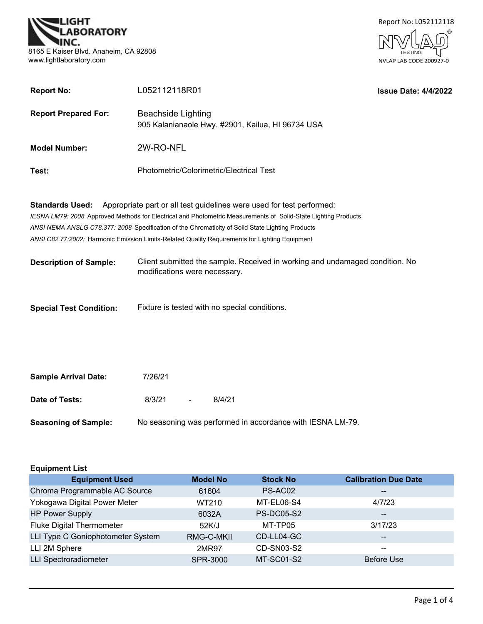



| <b>Report No:</b>              | L052112118R01                                                                                                                                                                                                                                                                                                                                                                                 |                                                                              | <b>Issue Date: 4/4/2022</b> |
|--------------------------------|-----------------------------------------------------------------------------------------------------------------------------------------------------------------------------------------------------------------------------------------------------------------------------------------------------------------------------------------------------------------------------------------------|------------------------------------------------------------------------------|-----------------------------|
| <b>Report Prepared For:</b>    | <b>Beachside Lighting</b><br>905 Kalanianaole Hwy. #2901, Kailua, HI 96734 USA                                                                                                                                                                                                                                                                                                                |                                                                              |                             |
| <b>Model Number:</b>           | 2W-RO-NFL                                                                                                                                                                                                                                                                                                                                                                                     |                                                                              |                             |
| Test:                          | Photometric/Colorimetric/Electrical Test                                                                                                                                                                                                                                                                                                                                                      |                                                                              |                             |
| <b>Standards Used:</b>         | Appropriate part or all test guidelines were used for test performed:<br>IESNA LM79: 2008 Approved Methods for Electrical and Photometric Measurements of Solid-State Lighting Products<br>ANSI NEMA ANSLG C78.377: 2008 Specification of the Chromaticity of Solid State Lighting Products<br>ANSI C82.77:2002: Harmonic Emission Limits-Related Quality Requirements for Lighting Equipment |                                                                              |                             |
| <b>Description of Sample:</b>  | modifications were necessary.                                                                                                                                                                                                                                                                                                                                                                 | Client submitted the sample. Received in working and undamaged condition. No |                             |
| <b>Special Test Condition:</b> | Fixture is tested with no special conditions.                                                                                                                                                                                                                                                                                                                                                 |                                                                              |                             |
| <b>Sample Arrival Date:</b>    | 7/26/21                                                                                                                                                                                                                                                                                                                                                                                       |                                                                              |                             |
| Date of Tests:                 | 8/3/21<br>8/4/21                                                                                                                                                                                                                                                                                                                                                                              |                                                                              |                             |

| <b>Seasoning of Sample:</b> | No seasoning was performed in accordance with IESNA LM-79. |  |  |
|-----------------------------|------------------------------------------------------------|--|--|
|                             |                                                            |  |  |

| <b>Equipment List</b>             |                 |                   |                             |
|-----------------------------------|-----------------|-------------------|-----------------------------|
| <b>Equipment Used</b>             | <b>Model No</b> | <b>Stock No</b>   | <b>Calibration Due Date</b> |
| Chroma Programmable AC Source     | 61604           | PS-AC02           | $\overline{\phantom{m}}$    |
| Yokogawa Digital Power Meter      | WT210           | MT-EL06-S4        | 4/7/23                      |
| <b>HP Power Supply</b>            | 6032A           | <b>PS-DC05-S2</b> | $\overline{\phantom{m}}$    |
| <b>Fluke Digital Thermometer</b>  | 52K/J           | MT-TP05           | 3/17/23                     |
| LLI Type C Goniophotometer System | RMG-C-MKII      | CD-LL04-GC        | $\overline{\phantom{m}}$    |
| LLI 2M Sphere                     | 2MR97           | CD-SN03-S2        | $\sim$ $\sim$               |
| <b>LLI Spectroradiometer</b>      | SPR-3000        | MT-SC01-S2        | <b>Before Use</b>           |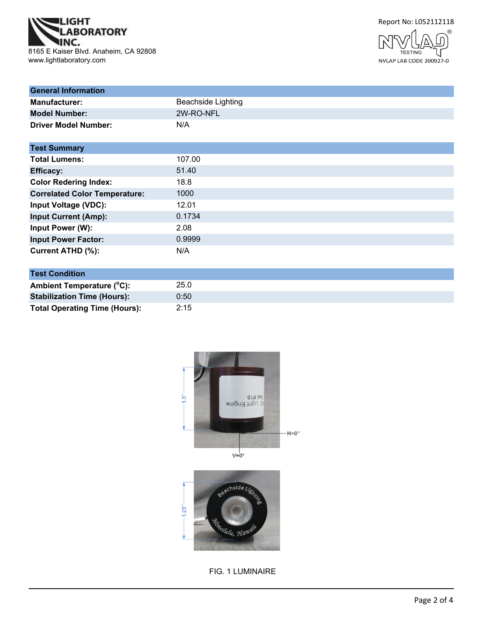





| <b>General Information</b>           |                           |
|--------------------------------------|---------------------------|
| <b>Manufacturer:</b>                 | <b>Beachside Lighting</b> |
| <b>Model Number:</b>                 | 2W-RO-NFL                 |
| <b>Driver Model Number:</b>          | N/A                       |
| <b>Test Summary</b>                  |                           |
| <b>Total Lumens:</b>                 | 107.00                    |
| <b>Efficacy:</b>                     | 51.40                     |
| <b>Color Redering Index:</b>         | 18.8                      |
| <b>Correlated Color Temperature:</b> | 1000                      |
| <b>Input Voltage (VDC):</b>          | 12.01                     |
| <b>Input Current (Amp):</b>          | 0.1734                    |
| Input Power (W):                     | 2.08                      |
| <b>Input Power Factor:</b>           | 0.9999                    |
| <b>Current ATHD (%):</b>             | N/A                       |

| <b>Test Condition</b>                |      |  |
|--------------------------------------|------|--|
| Ambient Temperature (°C):            | 25.0 |  |
| <b>Stabilization Time (Hours):</b>   | 0:50 |  |
| <b>Total Operating Time (Hours):</b> | 2:15 |  |



FIG. 1 LUMINAIRE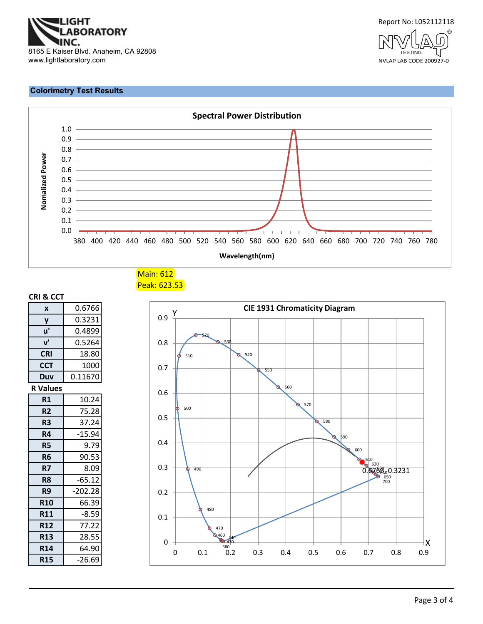



#### **Colorimetry Test Results**



Main: 612 Peak: 623.53

| CRI & CCT               |           |
|-------------------------|-----------|
| $\overline{\mathbf{x}}$ | 0.6766    |
| $\overline{\mathsf{y}}$ | 0.3231    |
| u'                      | 0.4899    |
| v'                      | 0.5264    |
| <b>CRI</b>              | 18.80     |
| <b>CCT</b>              | 1000      |
| Duv                     | 0.11670   |
| <b>R</b> Values         |           |
| R1                      | 10.24     |
| R <sub>2</sub>          | 75.28     |
| 37.24<br>R <sub>3</sub> |           |
| R4                      | $-15.94$  |
| R5                      | 9.79      |
| R <sub>6</sub>          | 90.53     |
| R7                      | 8.09      |
| R8                      | $-65.12$  |
| R <sub>9</sub>          | $-202.28$ |
| <b>R10</b>              | 66.39     |
| <b>R11</b>              | $-8.59$   |
| <b>R12</b>              | 77.22     |
| <b>R13</b>              | 28.55     |
| <b>R14</b>              | 64.90     |
| <b>R15</b>              | -26.69    |

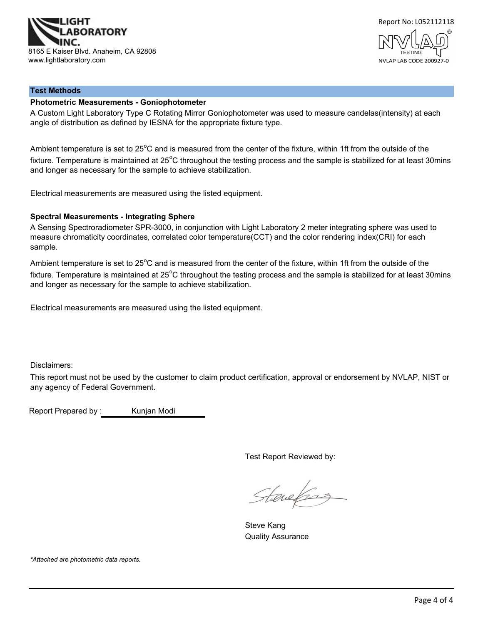



## **Test Methods**

#### **Photometric Measurements - Goniophotometer**

A Custom Light Laboratory Type C Rotating Mirror Goniophotometer was used to measure candelas(intensity) at each angle of distribution as defined by IESNA for the appropriate fixture type.

Ambient temperature is set to 25°C and is measured from the center of the fixture, within 1ft from the outside of the fixture. Temperature is maintained at 25°C throughout the testing process and the sample is stabilized for at least 30mins and longer as necessary for the sample to achieve stabilization.

Electrical measurements are measured using the listed equipment.

#### **Spectral Measurements - Integrating Sphere**

A Sensing Spectroradiometer SPR-3000, in conjunction with Light Laboratory 2 meter integrating sphere was used to measure chromaticity coordinates, correlated color temperature(CCT) and the color rendering index(CRI) for each sample.

Ambient temperature is set to 25°C and is measured from the center of the fixture, within 1ft from the outside of the fixture. Temperature is maintained at 25°C throughout the testing process and the sample is stabilized for at least 30mins and longer as necessary for the sample to achieve stabilization.

Electrical measurements are measured using the listed equipment.

Disclaimers:

This report must not be used by the customer to claim product certification, approval or endorsement by NVLAP, NIST or any agency of Federal Government.

Report Prepared by : Kunjan Modi

Test Report Reviewed by:

Staneforz

Steve Kang Quality Assurance

*\*Attached are photometric data reports.*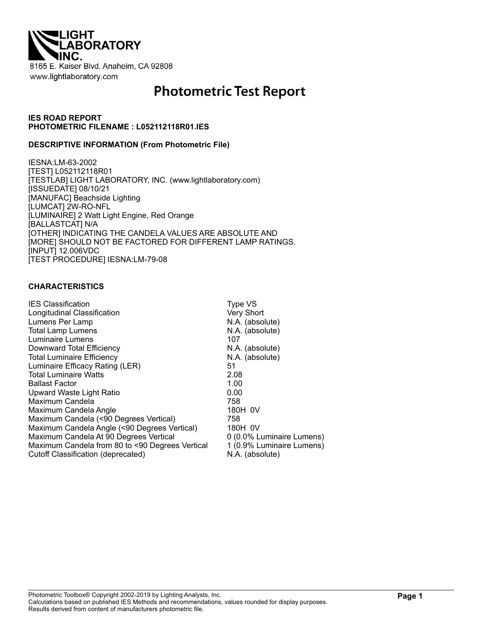

# **Photometric Test Report**

#### **IES ROAD REPORT PHOTOMETRIC FILENAME : L052112118R01.IES**

#### **DESCRIPTIVE INFORMATION (From Photometric File)**

IESNA:LM-63-2002 [TEST] L052112118R01 [TESTLAB] LIGHT LABORATORY, INC. (www.lightlaboratory.com) [ISSUEDATE] 08/10/21 [MANUFAC] Beachside Lighting [LUMCAT] 2W-RO-NFL [LUMINAIRE] 2 Watt Light Engine, Red Orange [BALLASTCAT] N/A [OTHER] INDICATING THE CANDELA VALUES ARE ABSOLUTE AND [MORE] SHOULD NOT BE FACTORED FOR DIFFERENT LAMP RATINGS. [INPUT] 12.006VDC [TEST PROCEDURE] IESNA:LM-79-08

#### **CHARACTERISTICS**

| <b>IES Classification</b>                       | Type VS                   |
|-------------------------------------------------|---------------------------|
| Longitudinal Classification                     | Very Short                |
| Lumens Per Lamp                                 | N.A. (absolute)           |
| <b>Total Lamp Lumens</b>                        | N.A. (absolute)           |
| Luminaire Lumens<br>107                         |                           |
| Downward Total Efficiency                       | N.A. (absolute)           |
| <b>Total Luminaire Efficiency</b>               | N.A. (absolute)           |
| Luminaire Efficacy Rating (LER)<br>51           |                           |
| <b>Total Luminaire Watts</b><br>2.08            |                           |
| 1.00<br><b>Ballast Factor</b>                   |                           |
| 0.00<br>Upward Waste Light Ratio                |                           |
| Maximum Candela<br>758                          |                           |
| Maximum Candela Angle                           | 180H 0V                   |
| Maximum Candela (<90 Degrees Vertical)<br>758   |                           |
| Maximum Candela Angle (<90 Degrees Vertical)    | 180H 0V                   |
| Maximum Candela At 90 Degrees Vertical          | 0 (0.0% Luminaire Lumens) |
| Maximum Candela from 80 to <90 Degrees Vertical | 1 (0.9% Luminaire Lumens) |
| Cutoff Classification (deprecated)              | N.A. (absolute)           |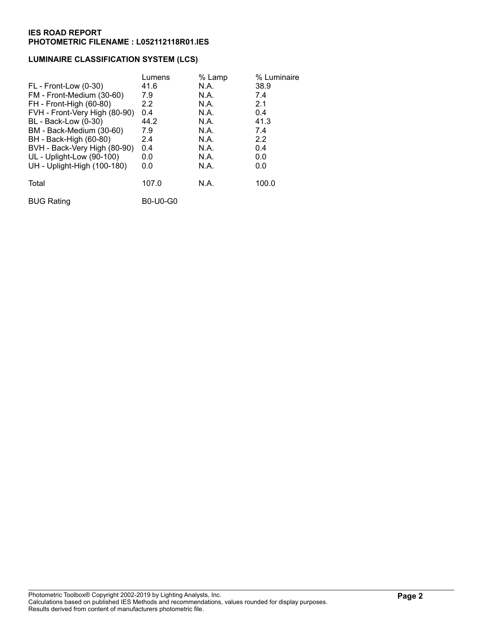## **LUMINAIRE CLASSIFICATION SYSTEM (LCS)**

|                               | Lumens          | % Lamp | % Luminaire |
|-------------------------------|-----------------|--------|-------------|
| FL - Front-Low (0-30)         | 41.6            | N.A.   | 38.9        |
| FM - Front-Medium (30-60)     | 7.9             | N.A.   | 7.4         |
| FH - Front-High (60-80)       | 2.2             | N.A.   | 2.1         |
| FVH - Front-Very High (80-90) | 0.4             | N.A.   | 0.4         |
| BL - Back-Low (0-30)          | 44.2            | N.A.   | 41.3        |
| BM - Back-Medium (30-60)      | 7.9             | N.A.   | 7.4         |
| BH - Back-High (60-80)        | 2.4             | N.A.   | 2.2         |
| BVH - Back-Very High (80-90)  | 0.4             | N.A.   | 0.4         |
| UL - Uplight-Low (90-100)     | 0.0             | N.A.   | 0.0         |
| UH - Uplight-High (100-180)   | 0.0             | N.A.   | 0.0         |
| Total                         | 107.0           | N.A.   | 100.0       |
| <b>BUG Rating</b>             | <b>B0-U0-G0</b> |        |             |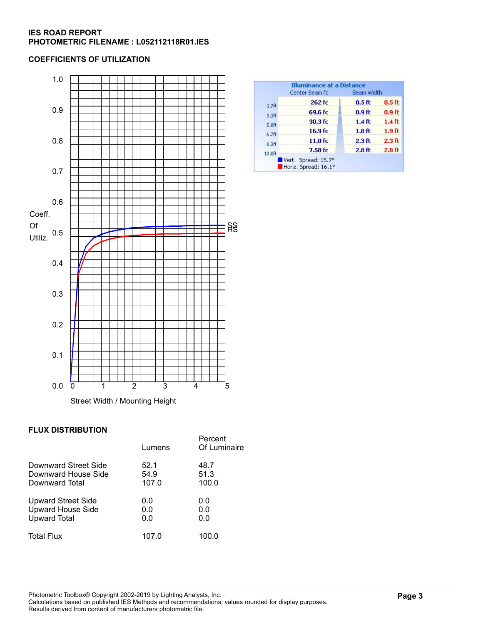#### **COEFFICIENTS OF UTILIZATION**



## **FLUX DISTRIBUTION**

|                           | Lumens | Percent<br>Of Luminaire |
|---------------------------|--------|-------------------------|
| Downward Street Side      | 52.1   | 48.7                    |
| Downward House Side       | 54.9   | 51.3                    |
| Downward Total            | 107.0  | 100.0                   |
| <b>Upward Street Side</b> | 0.0    | 0.0                     |
| <b>Upward House Side</b>  | 0.0    | 0.0                     |
| <b>Upward Total</b>       | 0.0    | 0.0                     |
| <b>Total Flux</b>         | 107.0  | 100.0                   |

|                   | Center Beam fc      | Beam Width        |                   |
|-------------------|---------------------|-------------------|-------------------|
| 1.7 <sub>ft</sub> | 262 fc              | 0.5 <sub>ft</sub> | 0.5 <sub>f</sub>  |
| 3.3 <sub>ft</sub> | 69.6 fc             | 0.9 <sub>ft</sub> | 0.9 ft            |
| 5.0 <sub>0</sub>  | 30.3 fc             | 1.4 <sub>ft</sub> | 1.4 <sub>ft</sub> |
| 6.7 <sub>ft</sub> | 16.9 <sub>fc</sub>  | 1.8 <sub>f</sub>  | 1.9 <sub>ft</sub> |
| 8.3 <sub>ft</sub> | 11.0 f <sub>C</sub> | 2.3 <sub>ft</sub> | 2.3 <sub>ft</sub> |
| 10.0 <sub>h</sub> | $7.58$ fc           | 2.8 <sub>ft</sub> | 2.8 <sub>ft</sub> |

Photometric Toolbox® Copyright 2002-2019 by Lighting Analysts, Inc. Calculations based on published IES Methods and recommendations, values rounded for display purposes. Results derived from content of manufacturers photometric file.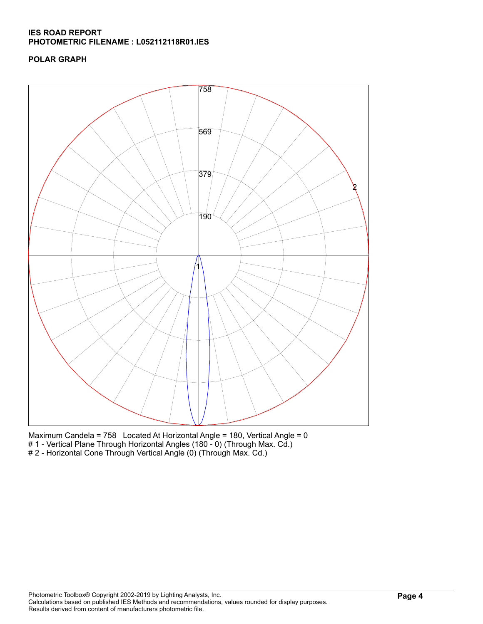# **POLAR GRAPH**



Maximum Candela = 758 Located At Horizontal Angle = 180, Vertical Angle = 0 # 1 - Vertical Plane Through Horizontal Angles (180 - 0) (Through Max. Cd.) # 2 - Horizontal Cone Through Vertical Angle (0) (Through Max. Cd.)